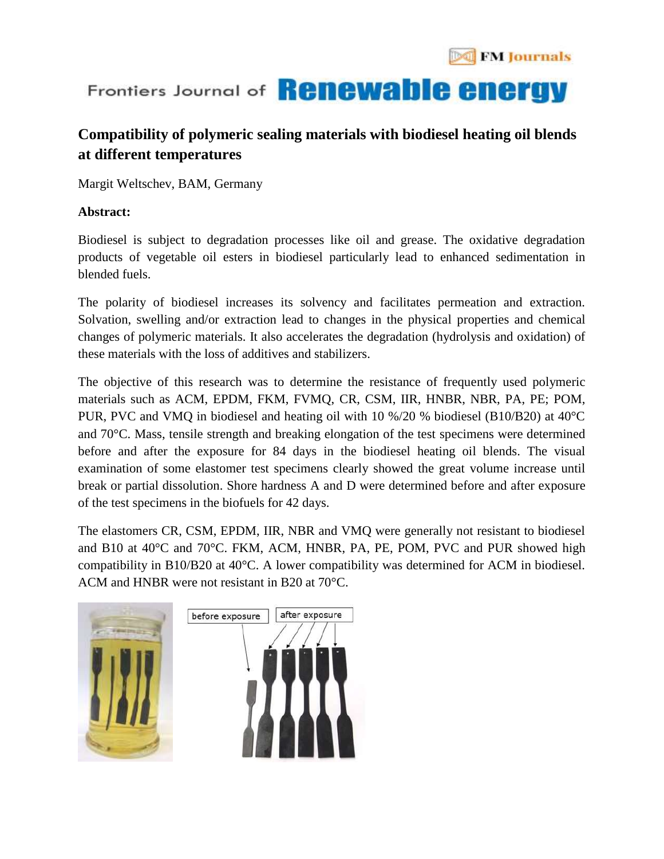

# Frontiers Journal of **Renewable energy**

### **Compatibility of polymeric sealing materials with biodiesel heating oil blends at different temperatures**

Margit Weltschev, BAM, Germany

### **Abstract:**

Biodiesel is subject to degradation processes like oil and grease. The oxidative degradation products of vegetable oil esters in biodiesel particularly lead to enhanced sedimentation in blended fuels.

The polarity of biodiesel increases its solvency and facilitates permeation and extraction. Solvation, swelling and/or extraction lead to changes in the physical properties and chemical changes of polymeric materials. It also accelerates the degradation (hydrolysis and oxidation) of these materials with the loss of additives and stabilizers.

The objective of this research was to determine the resistance of frequently used polymeric materials such as ACM, EPDM, FKM, FVMQ, CR, CSM, IIR, HNBR, NBR, PA, PE; POM, PUR, PVC and VMQ in biodiesel and heating oil with 10 %/20 % biodiesel (B10/B20) at 40°C and 70°C. Mass, tensile strength and breaking elongation of the test specimens were determined before and after the exposure for 84 days in the biodiesel heating oil blends. The visual examination of some elastomer test specimens clearly showed the great volume increase until break or partial dissolution. Shore hardness A and D were determined before and after exposure of the test specimens in the biofuels for 42 days.

The elastomers CR, CSM, EPDM, IIR, NBR and VMQ were generally not resistant to biodiesel and B10 at 40°C and 70°C. FKM, ACM, HNBR, PA, PE, POM, PVC and PUR showed high compatibility in B10/B20 at 40°C. A lower compatibility was determined for ACM in biodiesel. ACM and HNBR were not resistant in B20 at 70°C.